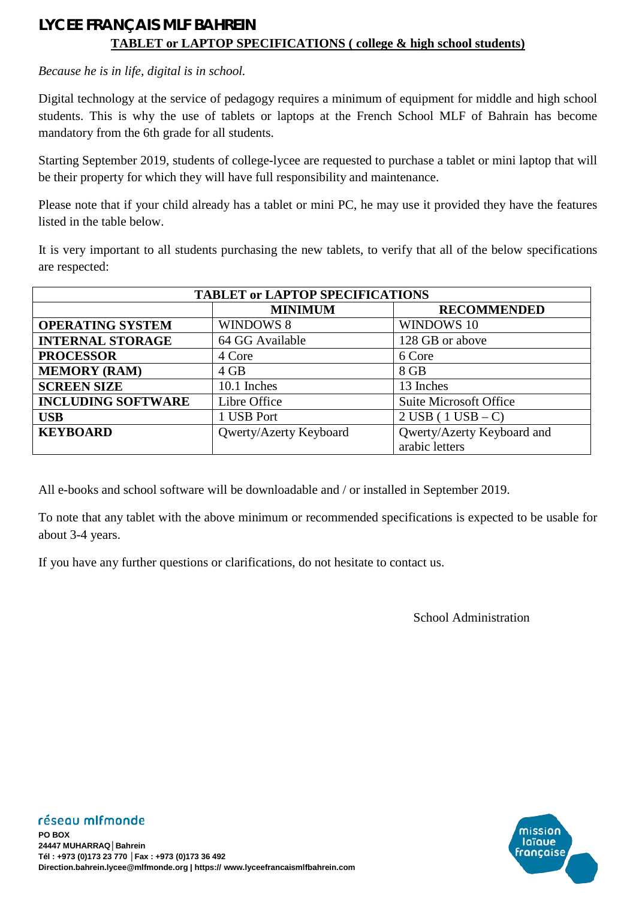## **LYCEE FRANÇAIS MLF BAHREIN TABLET or LAPTOP SPECIFICATIONS ( college & high school students)**

*Because he is in life, digital is in school.*

Digital technology at the service of pedagogy requires a minimum of equipment for middle and high school students. This is why the use of tablets or laptops at the French School MLF of Bahrain has become mandatory from the 6th grade for all students.

Starting September 2019, students of college-lycee are requested to purchase a tablet or mini laptop that will be their property for which they will have full responsibility and maintenance.

Please note that if your child already has a tablet or mini PC, he may use it provided they have the features listed in the table below.

It is very important to all students purchasing the new tablets, to verify that all of the below specifications are respected:

| <b>TABLET or LAPTOP SPECIFICATIONS</b> |                        |                                     |
|----------------------------------------|------------------------|-------------------------------------|
|                                        | <b>MINIMUM</b>         | <b>RECOMMENDED</b>                  |
| <b>OPERATING SYSTEM</b>                | WINDOWS 8              | <b>WINDOWS 10</b>                   |
| <b>INTERNAL STORAGE</b>                | 64 GG Available        | 128 GB or above                     |
| <b>PROCESSOR</b>                       | 4 Core                 | 6 Core                              |
| <b>MEMORY (RAM)</b>                    | $4$ GB                 | 8 GB                                |
| <b>SCREEN SIZE</b>                     | 10.1 Inches            | 13 Inches                           |
| <b>INCLUDING SOFTWARE</b>              | Libre Office           | <b>Suite Microsoft Office</b>       |
| <b>USB</b>                             | 1 USB Port             | $2 \text{ USB} (1 \text{ USB} - C)$ |
| <b>KEYBOARD</b>                        | Qwerty/Azerty Keyboard | Qwerty/Azerty Keyboard and          |
|                                        |                        | arabic letters                      |

All e-books and school software will be downloadable and / or installed in September 2019.

To note that any tablet with the above minimum or recommended specifications is expected to be usable for about 3-4 years.

If you have any further questions or clarifications, do not hesitate to contact us.

School Administration